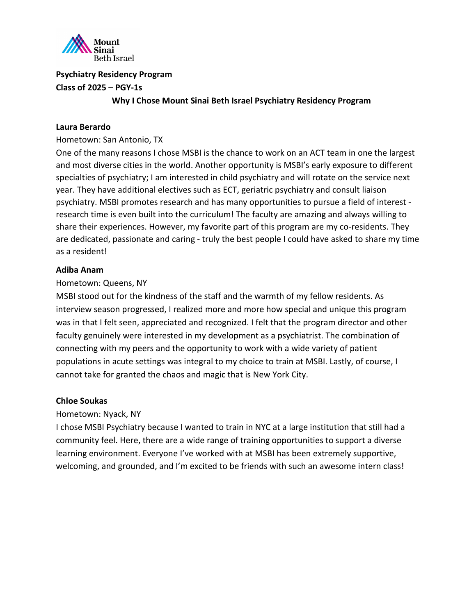

**Why I Chose Mount Sinai Beth Israel Psychiatry Residency Program**

## **Laura Berardo**

Hometown: San Antonio, TX

One of the many reasons I chose MSBI is the chance to work on an ACT team in one the largest and most diverse cities in the world. Another opportunity is MSBI's early exposure to different specialties of psychiatry; I am interested in child psychiatry and will rotate on the service next year. They have additional electives such as ECT, geriatric psychiatry and consult liaison psychiatry. MSBI promotes research and has many opportunities to pursue a field of interest research time is even built into the curriculum! The faculty are amazing and always willing to share their experiences. However, my favorite part of this program are my co-residents. They are dedicated, passionate and caring - truly the best people I could have asked to share my time as a resident!

## **Adiba Anam**

#### Hometown: Queens, NY

MSBI stood out for the kindness of the staff and the warmth of my fellow residents. As interview season progressed, I realized more and more how special and unique this program was in that I felt seen, appreciated and recognized. I felt that the program director and other faculty genuinely were interested in my development as a psychiatrist. The combination of connecting with my peers and the opportunity to work with a wide variety of patient populations in acute settings was integral to my choice to train at MSBI. Lastly, of course, I cannot take for granted the chaos and magic that is New York City.

#### **Chloe Soukas**

Hometown: Nyack, NY

I chose MSBI Psychiatry because I wanted to train in NYC at a large institution that still had a community feel. Here, there are a wide range of training opportunities to support a diverse learning environment. Everyone I've worked with at MSBI has been extremely supportive, welcoming, and grounded, and I'm excited to be friends with such an awesome intern class!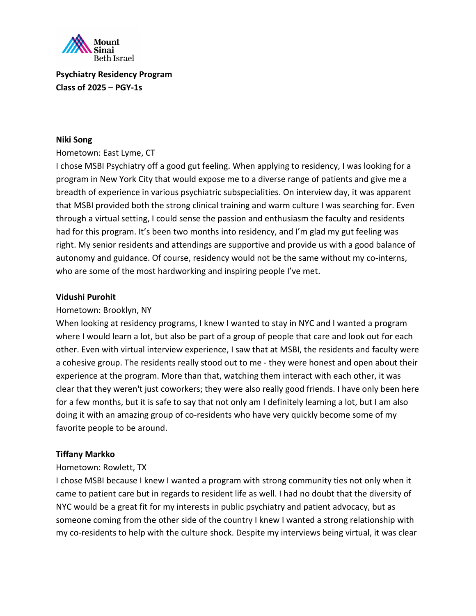

#### **Niki Song**

#### Hometown: East Lyme, CT

I chose MSBI Psychiatry off a good gut feeling. When applying to residency, I was looking for a program in New York City that would expose me to a diverse range of patients and give me a breadth of experience in various psychiatric subspecialities. On interview day, it was apparent that MSBI provided both the strong clinical training and warm culture I was searching for. Even through a virtual setting, I could sense the passion and enthusiasm the faculty and residents had for this program. It's been two months into residency, and I'm glad my gut feeling was right. My senior residents and attendings are supportive and provide us with a good balance of autonomy and guidance. Of course, residency would not be the same without my co-interns, who are some of the most hardworking and inspiring people I've met.

#### **Vidushi Purohit**

#### Hometown: Brooklyn, NY

When looking at residency programs, I knew I wanted to stay in NYC and I wanted a program where I would learn a lot, but also be part of a group of people that care and look out for each other. Even with virtual interview experience, I saw that at MSBI, the residents and faculty were a cohesive group. The residents really stood out to me - they were honest and open about their experience at the program. More than that, watching them interact with each other, it was clear that they weren't just coworkers; they were also really good friends. I have only been here for a few months, but it is safe to say that not only am I definitely learning a lot, but I am also doing it with an amazing group of co-residents who have very quickly become some of my favorite people to be around.

#### **Tiffany Markko**

#### Hometown: Rowlett, TX

I chose MSBI because I knew I wanted a program with strong community ties not only when it came to patient care but in regards to resident life as well. I had no doubt that the diversity of NYC would be a great fit for my interests in public psychiatry and patient advocacy, but as someone coming from the other side of the country I knew I wanted a strong relationship with my co-residents to help with the culture shock. Despite my interviews being virtual, it was clear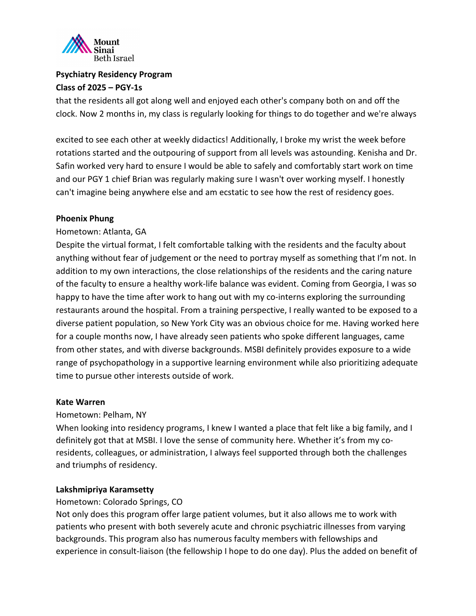

that the residents all got along well and enjoyed each other's company both on and off the clock. Now 2 months in, my class is regularly looking for things to do together and we're always

excited to see each other at weekly didactics! Additionally, I broke my wrist the week before rotations started and the outpouring of support from all levels was astounding. Kenisha and Dr. Safin worked very hard to ensure I would be able to safely and comfortably start work on time and our PGY 1 chief Brian was regularly making sure I wasn't over working myself. I honestly can't imagine being anywhere else and am ecstatic to see how the rest of residency goes.

#### **Phoenix Phung**

#### Hometown: Atlanta, GA

Despite the virtual format, I felt comfortable talking with the residents and the faculty about anything without fear of judgement or the need to portray myself as something that I'm not. In addition to my own interactions, the close relationships of the residents and the caring nature of the faculty to ensure a healthy work-life balance was evident. Coming from Georgia, I was so happy to have the time after work to hang out with my co-interns exploring the surrounding restaurants around the hospital. From a training perspective, I really wanted to be exposed to a diverse patient population, so New York City was an obvious choice for me. Having worked here for a couple months now, I have already seen patients who spoke different languages, came from other states, and with diverse backgrounds. MSBI definitely provides exposure to a wide range of psychopathology in a supportive learning environment while also prioritizing adequate time to pursue other interests outside of work.

#### **Kate Warren**

#### Hometown: Pelham, NY

When looking into residency programs, I knew I wanted a place that felt like a big family, and I definitely got that at MSBI. I love the sense of community here. Whether it's from my coresidents, colleagues, or administration, I always feel supported through both the challenges and triumphs of residency.

#### **Lakshmipriya Karamsetty**

#### Hometown: Colorado Springs, CO

Not only does this program offer large patient volumes, but it also allows me to work with patients who present with both severely acute and chronic psychiatric illnesses from varying backgrounds. This program also has numerous faculty members with fellowships and experience in consult-liaison (the fellowship I hope to do one day). Plus the added on benefit of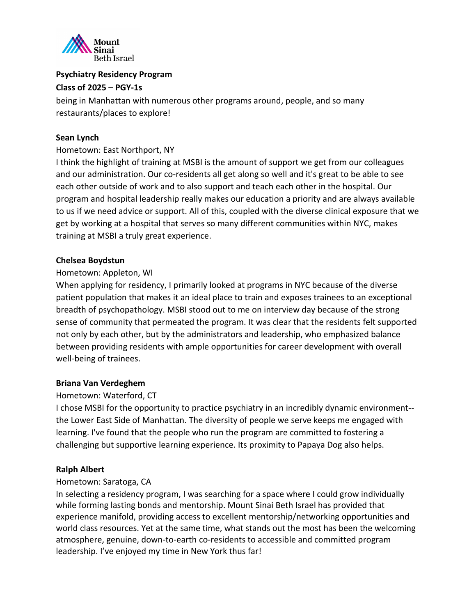

being in Manhattan with numerous other programs around, people, and so many restaurants/places to explore!

# **Sean Lynch**

# Hometown: East Northport, NY

I think the highlight of training at MSBI is the amount of support we get from our colleagues and our administration. Our co-residents all get along so well and it's great to be able to see each other outside of work and to also support and teach each other in the hospital. Our program and hospital leadership really makes our education a priority and are always available to us if we need advice or support. All of this, coupled with the diverse clinical exposure that we get by working at a hospital that serves so many different communities within NYC, makes training at MSBI a truly great experience.

## **Chelsea Boydstun**

# Hometown: Appleton, WI

When applying for residency, I primarily looked at programs in NYC because of the diverse patient population that makes it an ideal place to train and exposes trainees to an exceptional breadth of psychopathology. MSBI stood out to me on interview day because of the strong sense of community that permeated the program. It was clear that the residents felt supported not only by each other, but by the administrators and leadership, who emphasized balance between providing residents with ample opportunities for career development with overall well-being of trainees.

#### **Briana Van Verdeghem**

# Hometown: Waterford, CT

I chose MSBI for the opportunity to practice psychiatry in an incredibly dynamic environment- the Lower East Side of Manhattan. The diversity of people we serve keeps me engaged with learning. I've found that the people who run the program are committed to fostering a challenging but supportive learning experience. Its proximity to Papaya Dog also helps.

#### **Ralph Albert**

# Hometown: Saratoga, CA

In selecting a residency program, I was searching for a space where I could grow individually while forming lasting bonds and mentorship. Mount Sinai Beth Israel has provided that experience manifold, providing access to excellent mentorship/networking opportunities and world class resources. Yet at the same time, what stands out the most has been the welcoming atmosphere, genuine, down-to-earth co-residents to accessible and committed program leadership. I've enjoyed my time in New York thus far!